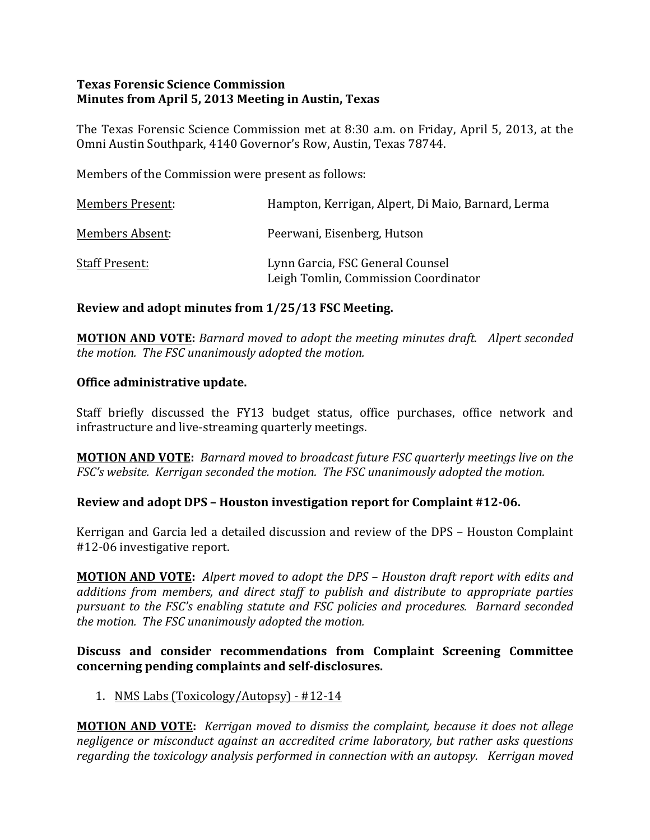## **Texas Forensic Science Commission Minutes from April 5, 2013 Meeting in Austin, Texas**

The Texas Forensic Science Commission met at 8:30 a.m. on Friday, April 5, 2013, at the Omni Austin Southpark, 4140 Governor's Row, Austin, Texas 78744.

Members of the Commission were present as follows:

| <b>Members Present:</b> | Hampton, Kerrigan, Alpert, Di Maio, Barnard, Lerma                       |
|-------------------------|--------------------------------------------------------------------------|
| Members Absent:         | Peerwani, Eisenberg, Hutson                                              |
| <b>Staff Present:</b>   | Lynn Garcia, FSC General Counsel<br>Leigh Tomlin, Commission Coordinator |

## **Review and adopt minutes from 1/25/13 FSC Meeting.**

**MOTION AND VOTE:** Barnard moved to adopt the meeting minutes draft. Alpert seconded *the motion. The FSC unanimously adopted the motion.* 

### **Office administrative update.**

Staff briefly discussed the FY13 budget status, office purchases, office network and infrastructure and live-streaming quarterly meetings.

**MOTION AND VOTE:** Barnard moved to broadcast future *FSC* quarterly meetings live on the *FSC's* website. Kerrigan seconded the motion. The FSC unanimously adopted the motion.

## **Review and adopt DPS – Houston investigation report for Complaint #12-06.**

Kerrigan and Garcia led a detailed discussion and review of the DPS – Houston Complaint #12-06 investigative report.

**MOTION AND VOTE:** Alpert moved to adopt the DPS - Houston draft report with edits and *additions from members, and direct staff to publish and distribute to appropriate parties pursuant to the FSC's enabling statute and FSC policies and procedures. Barnard seconded the motion. The FSC unanimously adopted the motion.* 

## **Discuss and consider recommendations from Complaint Screening Committee concerning pending complaints and self-disclosures.**

1. NMS Labs (Toxicology/Autopsy) - #12-14

**MOTION AND VOTE:** *Kerrigan moved to dismiss the complaint, because it does not allege negligence or misconduct against an accredited crime laboratory, but rather asks questions regarding* the toxicology analysis performed in connection with an autopsy. Kerrigan moved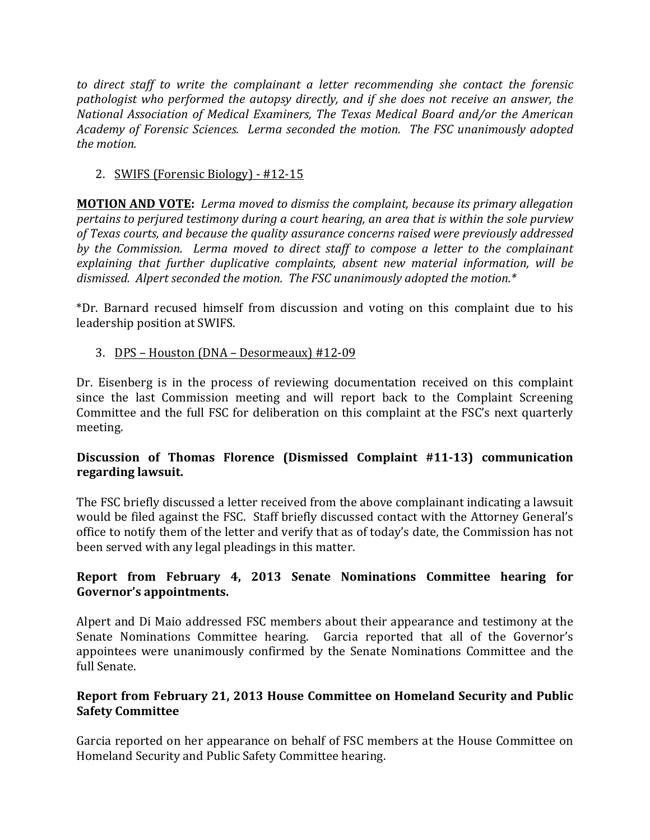to direct staff to write the complainant a letter recommending she contact the forensic *pathologist* who performed the autopsy directly, and if she does not receive an answer, the *National Association of Medical Examiners, The Texas Medical Board and/or the American* Academy of Forensic Sciences. Lerma seconded the motion. The FSC unanimously adopted *the motion.* 

## 2. SWIFS (Forensic Biology) - #12-15

**MOTION AND VOTE:** Lerma moved to dismiss the complaint, because its primary allegation *pertains to perjured testimony during a court hearing, an area that is within the sole purview* of Texas courts, and because the quality assurance concerns raised were previously addressed by the Commission. Lerma moved to direct staff to compose a letter to the complainant explaining that further duplicative complaints, absent new material information, will be dismissed. Alpert seconded the motion. The FSC unanimously adopted the motion.<sup>\*</sup>

\*Dr. Barnard recused himself from discussion and voting on this complaint due to his leadership position at SWIFS.

3. DPS – Houston (DNA – Desormeaux) #12-09

Dr. Eisenberg is in the process of reviewing documentation received on this complaint since the last Commission meeting and will report back to the Complaint Screening Committee and the full FSC for deliberation on this complaint at the FSC's next quarterly meeting.

# **Discussion of Thomas Florence (Dismissed Complaint #11-13) communication regarding lawsuit.**

The FSC briefly discussed a letter received from the above complainant indicating a lawsuit would be filed against the FSC. Staff briefly discussed contact with the Attorney General's office to notify them of the letter and verify that as of today's date, the Commission has not been served with any legal pleadings in this matter.

# **Report from February 4, 2013 Senate Nominations Committee hearing for** Governor's appointments.

Alpert and Di Maio addressed FSC members about their appearance and testimony at the Senate Nominations Committee hearing. Garcia reported that all of the Governor's appointees were unanimously confirmed by the Senate Nominations Committee and the full Senate.

# **Report from February 21, 2013 House Committee on Homeland Security and Public Safety Committee**

Garcia reported on her appearance on behalf of FSC members at the House Committee on Homeland Security and Public Safety Committee hearing.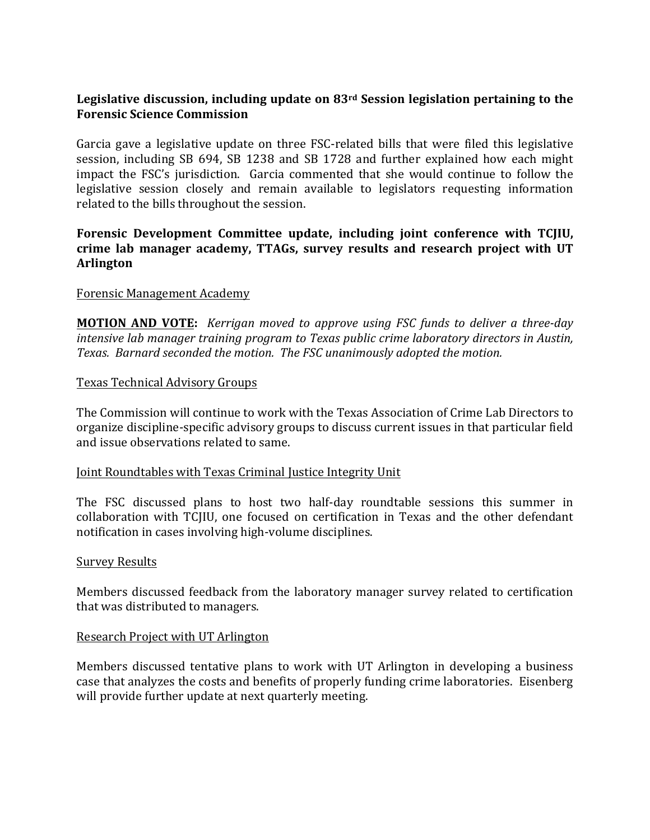## Legislative discussion, including update on 83<sup>rd</sup> Session legislation pertaining to the **Forensic Science Commission**

Garcia gave a legislative update on three FSC-related bills that were filed this legislative session, including SB  $694$ , SB 1238 and SB 1728 and further explained how each might impact the FSC's jurisdiction. Garcia commented that she would continue to follow the legislative session closely and remain available to legislators requesting information related to the bills throughout the session.

## Forensic Development Committee update, including joint conference with TCJIU, crime lab manager academy, TTAGs, survey results and research project with UT **Arlington**

### Forensic Management Academy

**MOTION AND VOTE:** *Kerrigan moved to approve using FSC funds to deliver a three-day intensive lab manager training program to Texas public crime laboratory directors in Austin,* Texas. Barnard seconded the motion. The FSC unanimously adopted the motion.

### Texas Technical Advisory Groups

The Commission will continue to work with the Texas Association of Crime Lab Directors to organize discipline-specific advisory groups to discuss current issues in that particular field and issue observations related to same.

#### Joint Roundtables with Texas Criminal Justice Integrity Unit

The FSC discussed plans to host two half-day roundtable sessions this summer in collaboration with TCJIU, one focused on certification in Texas and the other defendant notification in cases involving high-volume disciplines.

#### Survey Results

Members discussed feedback from the laboratory manager survey related to certification that was distributed to managers.

#### Research Project with UT Arlington

Members discussed tentative plans to work with UT Arlington in developing a business case that analyzes the costs and benefits of properly funding crime laboratories. Eisenberg will provide further update at next quarterly meeting.